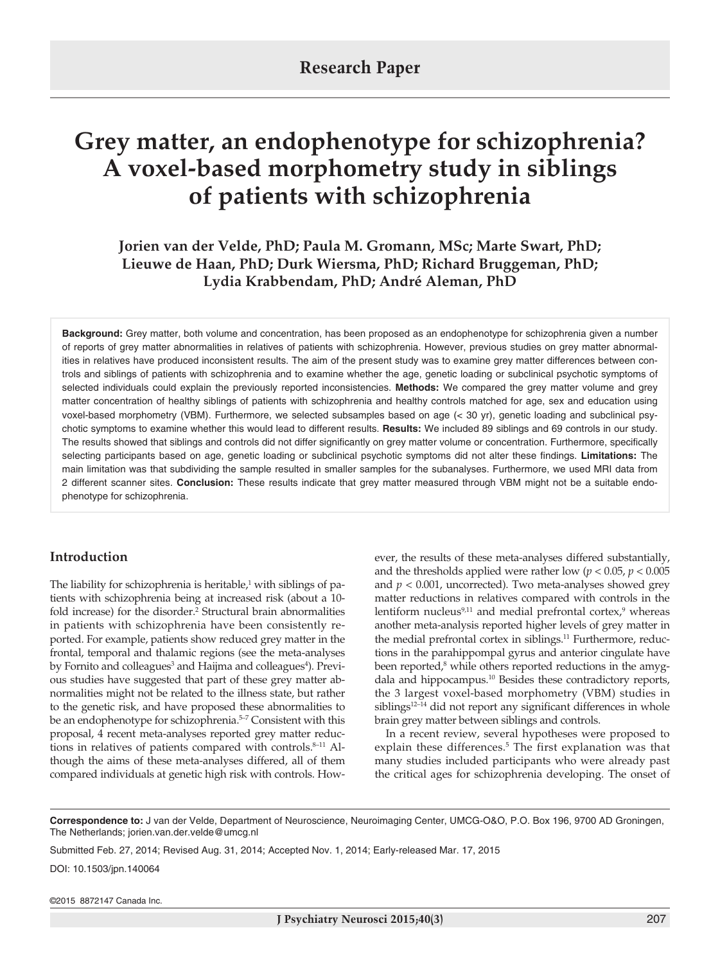# **Grey matter, an endophenotype for schizophrenia? A voxel-based morphometry study in siblings of patients with schizophrenia**

**Jorien van der Velde, PhD; Paula M. Gromann, MSc; Marte Swart, PhD; Lieuwe de Haan, PhD; Durk Wiersma, PhD; Richard Bruggeman, PhD; Lydia Krabbendam, PhD; André Aleman, PhD**

**Background:** Grey matter, both volume and concentration, has been proposed as an endophenotype for schizophrenia given a number of reports of grey matter abnormalities in relatives of patients with schizophrenia. However, previous studies on grey matter abnormalities in relatives have produced inconsistent results. The aim of the present study was to examine grey matter differences between controls and siblings of patients with schizophrenia and to examine whether the age, genetic loading or subclinical psychotic symptoms of selected individuals could explain the previously reported inconsistencies. **Methods:** We compared the grey matter volume and grey matter concentration of healthy siblings of patients with schizophrenia and healthy controls matched for age, sex and education using voxel-based morphometry (VBM). Furthermore, we selected subsamples based on age (< 30 yr), genetic loading and subclinical psychotic symptoms to examine whether this would lead to different results. **Results:** We included 89 siblings and 69 controls in our study. The results showed that siblings and controls did not differ significantly on grey matter volume or concentration. Furthermore, specifically selecting participants based on age, genetic loading or subclinical psychotic symptoms did not alter these findings. **Limitations:** The main limitation was that subdividing the sample resulted in smaller samples for the subanalyses. Furthermore, we used MRI data from 2 different scanner sites. **Conclusion:** These results indicate that grey matter measured through VBM might not be a suitable endophenotype for schizophrenia.

## **Introduction**

The liability for schizophrenia is heritable, $1$  with siblings of patients with schizophrenia being at increased risk (about a 10 fold increase) for the disorder.<sup>2</sup> Structural brain abnormalities in patients with schizophrenia have been consistently reported. For example, patients show reduced grey matter in the frontal, temporal and thalamic regions (see the meta-analyses by Fornito and colleagues<sup>3</sup> and Haijma and colleagues<sup>4</sup>). Previous studies have suggested that part of these grey matter abnormalities might not be related to the illness state, but rather to the genetic risk, and have proposed these abnormalities to be an endophenotype for schizophrenia.<sup>5-7</sup> Consistent with this proposal, 4 recent meta-analyses reported grey matter reductions in relatives of patients compared with controls.<sup>8-11</sup> Although the aims of these meta-analyses differed, all of them compared individuals at genetic high risk with controls. However, the results of these meta-analyses differed substantially, and the thresholds applied were rather low ( $p < 0.05$ ,  $p < 0.005$ ) and  $p < 0.001$ , uncorrected). Two meta-analyses showed grey matter reductions in relatives compared with controls in the lentiform nucleus<sup>9,11</sup> and medial prefrontal cortex,<sup>9</sup> whereas another meta-analysis reported higher levels of grey matter in the medial prefrontal cortex in siblings.<sup>11</sup> Furthermore, reductions in the parahippompal gyrus and anterior cingulate have been reported,<sup>8</sup> while others reported reductions in the amygdala and hippocampus.10 Besides these contradictory reports, the 3 largest voxel-based morphometry (VBM) studies in siblings<sup>12-14</sup> did not report any significant differences in whole brain grey matter between siblings and controls.

In a recent review, several hypotheses were proposed to explain these differences.<sup>5</sup> The first explanation was that many studies included participants who were already past the critical ages for schizophrenia developing. The onset of

**Correspondence to:** J van der Velde, Department of Neuroscience, Neuroimaging Center, UMCG-O&O, P.O. Box 196, 9700 AD Groningen, The Netherlands; jorien.van.der.velde@umcg.nl

Submitted Feb. 27, 2014; Revised Aug. 31, 2014; Accepted Nov. 1, 2014; Early-released Mar. 17, 2015

DOI: 10.1503/jpn.140064

©2015 8872147 Canada Inc.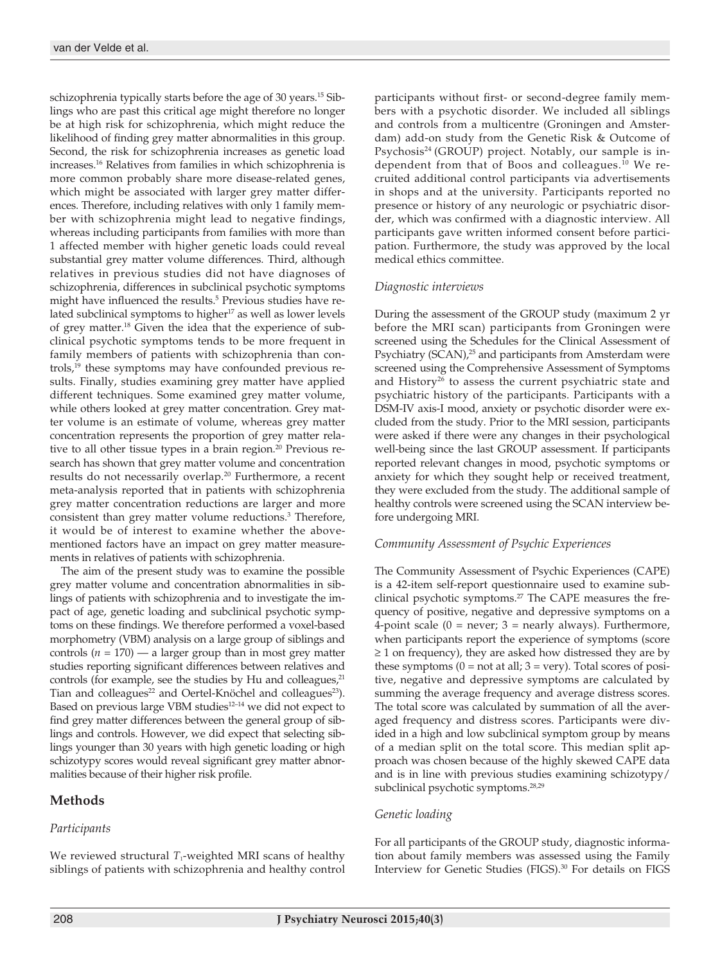schizophrenia typically starts before the age of 30 years.<sup>15</sup> Siblings who are past this critical age might therefore no longer be at high risk for schizophrenia, which might reduce the likelihood of finding grey matter abnormalities in this group. Second, the risk for schizophrenia increases as genetic load increases.16 Relatives from families in which schizophrenia is more common probably share more disease-related genes, which might be associated with larger grey matter differences. Therefore, including relatives with only 1 family member with schizophrenia might lead to negative findings, whereas including participants from families with more than 1 affected member with higher genetic loads could reveal substantial grey matter volume differences. Third, although relatives in previous studies did not have diagnoses of schizophrenia, differences in subclinical psychotic symptoms might have influenced the results.<sup>5</sup> Previous studies have related subclinical symptoms to higher<sup>17</sup> as well as lower levels of grey matter.18 Given the idea that the experience of subclinical psychotic symptoms tends to be more frequent in family members of patients with schizophrenia than controls,19 these symptoms may have confounded previous results. Finally, studies examining grey matter have applied different techniques. Some examined grey matter volume, while others looked at grey matter concentration. Grey matter volume is an estimate of volume, whereas grey matter concentration represents the proportion of grey matter relative to all other tissue types in a brain region.<sup>20</sup> Previous research has shown that grey matter volume and concentration results do not necessarily overlap.<sup>20</sup> Furthermore, a recent meta-analysis reported that in patients with schizophrenia grey matter concentration reductions are larger and more consistent than grey matter volume reductions.3 Therefore, it would be of interest to examine whether the abovementioned factors have an impact on grey matter measurements in relatives of patients with schizophrenia.

The aim of the present study was to examine the possible grey matter volume and concentration abnormalities in siblings of patients with schizophrenia and to investigate the impact of age, genetic loading and subclinical psychotic symptoms on these findings. We therefore performed a voxel-based morphometry (VBM) analysis on a large group of siblings and controls  $(n = 170)$  — a larger group than in most grey matter studies reporting significant differences between relatives and controls (for example, see the studies by Hu and colleagues, $21$ Tian and colleagues<sup>22</sup> and Oertel-Knöchel and colleagues<sup>23</sup>). Based on previous large VBM studies<sup>12-14</sup> we did not expect to find grey matter differences between the general group of siblings and controls. However, we did expect that selecting siblings younger than 30 years with high genetic loading or high schizotypy scores would reveal significant grey matter abnormalities because of their higher risk profile.

# **Methods**

# *Participants*

We reviewed structural  $T_1$ -weighted MRI scans of healthy siblings of patients with schizophrenia and healthy control participants without first- or second-degree family members with a psychotic disorder. We included all siblings and controls from a multicentre (Groningen and Amsterdam) add-on study from the Genetic Risk & Outcome of Psychosis<sup>24</sup> (GROUP) project. Notably, our sample is independent from that of Boos and colleagues.10 We recruited additional control participants via advertisements in shops and at the university. Participants reported no presence or history of any neurologic or psychiatric disorder, which was confirmed with a diagnostic interview. All participants gave written informed consent before participation. Furthermore, the study was approved by the local medical ethics committee.

## *Diagnostic interviews*

During the assessment of the GROUP study (maximum 2 yr before the MRI scan) participants from Groningen were screened using the Schedules for the Clinical Assessment of Psychiatry (SCAN),<sup>25</sup> and participants from Amsterdam were screened using the Comprehensive Assessment of Symptoms and History<sup>26</sup> to assess the current psychiatric state and psychiatric history of the participants. Participants with a DSM-IV axis-I mood, anxiety or psychotic disorder were excluded from the study. Prior to the MRI session, participants were asked if there were any changes in their psychological well-being since the last GROUP assessment. If participants reported relevant changes in mood, psychotic symptoms or anxiety for which they sought help or received treatment, they were excluded from the study. The additional sample of healthy controls were screened using the SCAN interview before undergoing MRI.

## *Community Assessment of Psychic Experiences*

The Community Assessment of Psychic Experiences (CAPE) is a 42-item self-report questionnaire used to examine subclinical psychotic symptoms.<sup>27</sup> The CAPE measures the frequency of positive, negative and depressive symptoms on a 4-point scale  $(0 = never; 3 = nearly always)$ . Furthermore, when participants report the experience of symptoms (score  $\geq$  1 on frequency), they are asked how distressed they are by these symptoms  $(0 = not at all; 3 = very)$ . Total scores of positive, negative and depressive symptoms are calculated by summing the average frequency and average distress scores. The total score was calculated by summation of all the averaged frequency and distress scores. Participants were divided in a high and low subclinical symptom group by means of a median split on the total score. This median split approach was chosen because of the highly skewed CAPE data and is in line with previous studies examining schizotypy/ subclinical psychotic symptoms.<sup>28,29</sup>

# *Genetic loading*

For all participants of the GROUP study, diagnostic information about family members was assessed using the Family Interview for Genetic Studies (FIGS).<sup>30</sup> For details on FIGS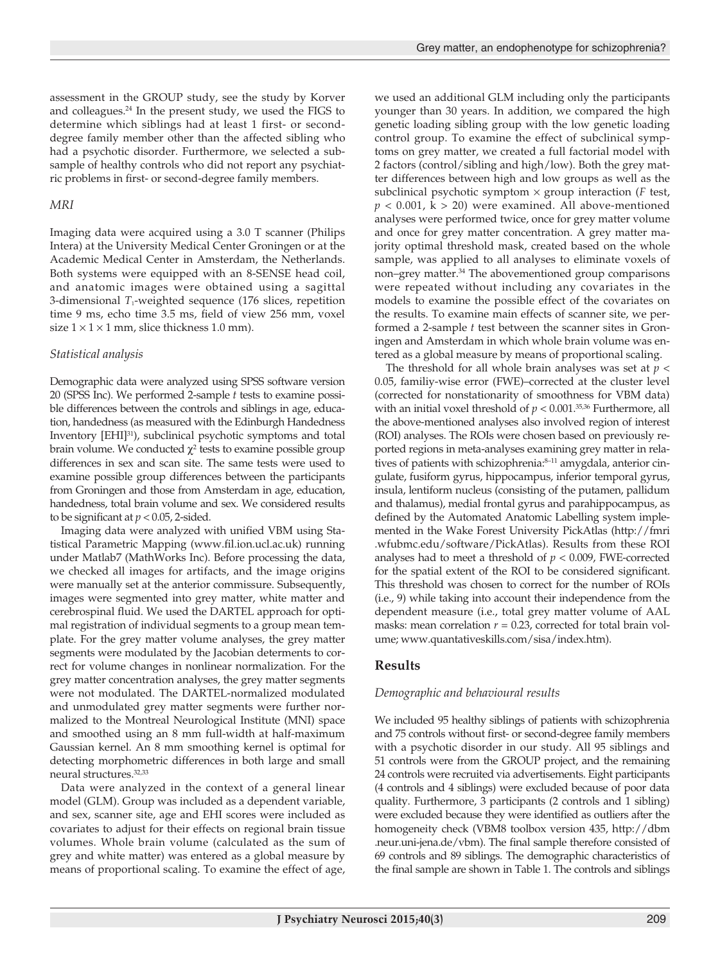assessment in the GROUP study, see the study by Korver and colleagues.<sup>24</sup> In the present study, we used the FIGS to determine which siblings had at least 1 first- or seconddegree family member other than the affected sibling who had a psychotic disorder. Furthermore, we selected a subsample of healthy controls who did not report any psychiatric problems in first- or second-degree family members.

## *MRI*

Imaging data were acquired using a 3.0 T scanner (Philips Intera) at the University Medical Center Groningen or at the Academic Medical Center in Amsterdam, the Netherlands. Both systems were equipped with an 8-SENSE head coil, and anatomic images were obtained using a sagittal 3-dimensional *T*<sub>1</sub>-weighted sequence (176 slices, repetition time 9 ms, echo time 3.5 ms, field of view 256 mm, voxel size  $1 \times 1 \times 1$  mm, slice thickness 1.0 mm).

## *Statistical analysis*

Demographic data were analyzed using SPSS software version 20 (SPSS Inc). We performed 2-sample *t* tests to examine possible differences between the controls and siblings in age, education, handedness (as measured with the Edinburgh Handedness Inventory [EHI]31), subclinical psychotic symptoms and total brain volume. We conducted  $\chi^2$  tests to examine possible group differences in sex and scan site. The same tests were used to examine possible group differences between the participants from Groningen and those from Amsterdam in age, education, handedness, total brain volume and sex. We considered results to be significant at *p* < 0.05, 2-sided.

Imaging data were analyzed with unified VBM using Statistical Parametric Mapping (www.fil.ion.ucl.ac.uk) running under Matlab7 (MathWorks Inc). Before processing the data, we checked all images for artifacts, and the image origins were manually set at the anterior commissure. Subsequently, images were segmented into grey matter, white matter and cerebrospinal fluid. We used the DARTEL approach for optimal registration of individual segments to a group mean template. For the grey matter volume analyses, the grey matter segments were modulated by the Jacobian determents to correct for volume changes in nonlinear normalization. For the grey matter concentration analyses, the grey matter segments were not modulated. The DARTEL-normalized modulated and unmodulated grey matter segments were further normalized to the Montreal Neurological Institute (MNI) space and smoothed using an 8 mm full-width at half-maximum Gaussian kernel. An 8 mm smoothing kernel is optimal for detecting morphometric differences in both large and small neural structures.32,33

Data were analyzed in the context of a general linear model (GLM). Group was included as a dependent variable, and sex, scanner site, age and EHI scores were included as covariates to adjust for their effects on regional brain tissue volumes. Whole brain volume (calculated as the sum of grey and white matter) was entered as a global measure by means of proportional scaling. To examine the effect of age,

we used an additional GLM including only the participants younger than 30 years. In addition, we compared the high genetic loading sibling group with the low genetic loading control group. To examine the effect of subclinical symptoms on grey matter, we created a full factorial model with 2 factors (control/sibling and high/low). Both the grey matter differences between high and low groups as well as the subclinical psychotic symptom × group interaction (*F* test,  $p < 0.001$ ,  $k > 20$ ) were examined. All above-mentioned analyses were performed twice, once for grey matter volume and once for grey matter concentration. A grey matter majority optimal threshold mask, created based on the whole sample, was applied to all analyses to eliminate voxels of non–grey matter.34 The abovementioned group comparisons were repeated without including any covariates in the models to examine the possible effect of the covariates on the results. To examine main effects of scanner site, we performed a 2-sample *t* test between the scanner sites in Groningen and Amsterdam in which whole brain volume was entered as a global measure by means of proportional scaling.

The threshold for all whole brain analyses was set at *p* < 0.05, familiy-wise error (FWE)–corrected at the cluster level (corrected for nonstationarity of smoothness for VBM data) with an initial voxel threshold of  $p < 0.001$ .<sup>35,36</sup> Furthermore, all the above-mentioned analyses also involved region of interest (ROI) analyses. The ROIs were chosen based on previously reported regions in meta-analyses examining grey matter in relatives of patients with schizophrenia:8-11 amygdala, anterior cingulate, fusiform gyrus, hippocampus, inferior temporal gyrus, insula, lentiform nucleus (consisting of the putamen, pallidum and thalamus), medial frontal gyrus and parahippocampus, as defined by the Automated Anatomic Labelling system implemented in the Wake Forest University PickAtlas (http://fmri .wfubmc.edu/software/PickAtlas). Results from these ROI analyses had to meet a threshold of *p* < 0.009, FWE-corrected for the spatial extent of the ROI to be considered significant. This threshold was chosen to correct for the number of ROIs (i.e., 9) while taking into account their independence from the dependent measure (i.e., total grey matter volume of AAL masks: mean correlation  $r = 0.23$ , corrected for total brain volume; www.quantativeskills.com/sisa/index.htm).

# **Results**

# *Demographic and behavioural results*

We included 95 healthy siblings of patients with schizophrenia and 75 controls without first- or second-degree family members with a psychotic disorder in our study. All 95 siblings and 51 controls were from the GROUP project, and the remaining 24 controls were recruited via advertisements. Eight participants (4 controls and 4 siblings) were excluded because of poor data quality. Furthermore, 3 participants (2 controls and 1 sibling) were excluded because they were identified as outliers after the homogeneity check (VBM8 toolbox version 435, http://dbm .neur.uni-jena.de/vbm). The final sample therefore consisted of 69 controls and 89 siblings. The demographic characteristics of the final sample are shown in Table 1. The controls and siblings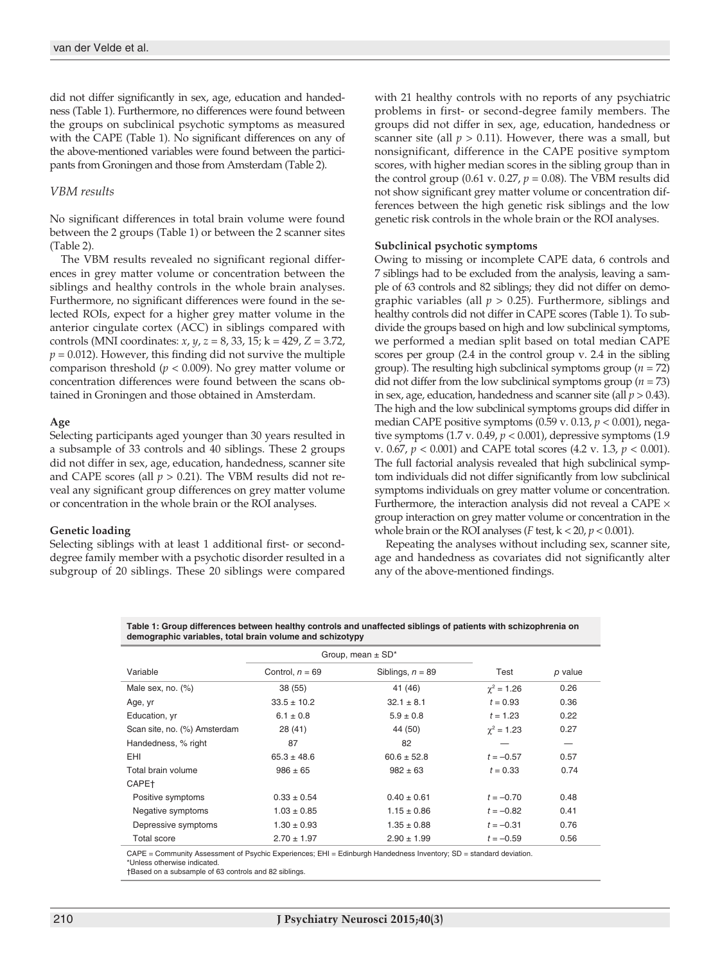did not differ significantly in sex, age, education and handedness (Table 1). Furthermore, no differences were found between the groups on subclinical psychotic symptoms as measured with the CAPE (Table 1). No significant differences on any of the above-mentioned variables were found between the participants from Groningen and those from Amsterdam (Table 2).

#### *VBM results*

No significant differences in total brain volume were found between the 2 groups (Table 1) or between the 2 scanner sites (Table 2).

The VBM results revealed no significant regional differences in grey matter volume or concentration between the siblings and healthy controls in the whole brain analyses. Furthermore, no significant differences were found in the selected ROIs, expect for a higher grey matter volume in the anterior cingulate cortex (ACC) in siblings compared with controls (MNI coordinates: *x*, *y*, *z* = 8, 33, 15; k = 429, *Z* = 3.72,  $p = 0.012$ ). However, this finding did not survive the multiple comparison threshold (*p* < 0.009). No grey matter volume or concentration differences were found between the scans obtained in Groningen and those obtained in Amsterdam.

#### **Age**

Selecting participants aged younger than 30 years resulted in a subsample of 33 controls and 40 siblings. These 2 groups did not differ in sex, age, education, handedness, scanner site and CAPE scores (all  $p > 0.21$ ). The VBM results did not reveal any significant group differences on grey matter volume or concentration in the whole brain or the ROI analyses.

#### **Genetic loading**

Selecting siblings with at least 1 additional first- or seconddegree family member with a psychotic disorder resulted in a subgroup of 20 siblings. These 20 siblings were compared with 21 healthy controls with no reports of any psychiatric problems in first- or second-degree family members. The groups did not differ in sex, age, education, handedness or scanner site (all  $p > 0.11$ ). However, there was a small, but nonsignificant, difference in the CAPE positive symptom scores, with higher median scores in the sibling group than in the control group (0.61 v. 0.27,  $p = 0.08$ ). The VBM results did not show significant grey matter volume or concentration differences between the high genetic risk siblings and the low genetic risk controls in the whole brain or the ROI analyses.

#### **Subclinical psychotic symptoms**

Owing to missing or incomplete CAPE data, 6 controls and 7 siblings had to be excluded from the analysis, leaving a sample of 63 controls and 82 siblings; they did not differ on demographic variables (all *p* > 0.25). Furthermore, siblings and healthy controls did not differ in CAPE scores (Table 1). To subdivide the groups based on high and low subclinical symptoms, we performed a median split based on total median CAPE scores per group (2.4 in the control group v. 2.4 in the sibling group). The resulting high subclinical symptoms group (*n* = 72) did not differ from the low subclinical symptoms group  $(n = 73)$ in sex, age, education, handedness and scanner site (all *p* > 0.43). The high and the low subclinical symptoms groups did differ in median CAPE positive symptoms (0.59 v. 0.13, *p* < 0.001), negative symptoms (1.7 v. 0.49, *p* < 0.001), depressive symptoms (1.9 v. 0.67, *p* < 0.001) and CAPE total scores (4.2 v. 1.3, *p* < 0.001). The full factorial analysis revealed that high subclinical symptom individuals did not differ significantly from low subclinical symptoms individuals on grey matter volume or concentration. Furthermore, the interaction analysis did not reveal a CAPE  $\times$ group interaction on grey matter volume or concentration in the whole brain or the ROI analyses (*F* test, k < 20, *p* < 0.001).

Repeating the analyses without including sex, scanner site, age and handedness as covariates did not significantly alter any of the above-mentioned findings.

**Table 1: Group differences between healthy controls and unaffected siblings of patients with schizophrenia on demographic variables, total brain volume and schizotypy**

|                              | Group, mean $\pm$ SD <sup>*</sup> |                    |                   |         |
|------------------------------|-----------------------------------|--------------------|-------------------|---------|
| Variable                     | Control, $n = 69$                 | Siblings, $n = 89$ | Test              | p value |
| Male sex, no. $(\%)$         | 38(55)                            | 41 (46)            | $\gamma^2 = 1.26$ | 0.26    |
| Age, yr                      | $33.5 \pm 10.2$                   | $32.1 \pm 8.1$     | $t = 0.93$        | 0.36    |
| Education, yr                | $6.1 \pm 0.8$                     | $5.9 \pm 0.8$      | $t = 1.23$        | 0.22    |
| Scan site, no. (%) Amsterdam | 28(41)                            | 44 (50)            | $\gamma^2 = 1.23$ | 0.27    |
| Handedness, % right          | 87                                | 82                 |                   | –       |
| EHI                          | $65.3 \pm 48.6$                   | $60.6 \pm 52.8$    | $t = -0.57$       | 0.57    |
| Total brain volume           | $986 \pm 65$                      | $982 \pm 63$       | $t = 0.33$        | 0.74    |
| CAPE <sup>+</sup>            |                                   |                    |                   |         |
| Positive symptoms            | $0.33 \pm 0.54$                   | $0.40 \pm 0.61$    | $t = -0.70$       | 0.48    |
| Negative symptoms            | $1.03 \pm 0.85$                   | $1.15 \pm 0.86$    | $t = -0.82$       | 0.41    |
| Depressive symptoms          | $1.30 \pm 0.93$                   | $1.35 \pm 0.88$    | $t = -0.31$       | 0.76    |
| <b>Total score</b>           | $2.70 \pm 1.97$                   | $2.90 \pm 1.99$    | $t = -0.59$       | 0.56    |
|                              |                                   |                    |                   |         |

CAPE = Community Assessment of Psychic Experiences; EHI = Edinburgh Handedness Inventory; SD = standard deviation. \*Unless otherwise indicated.

†Based on a subsample of 63 controls and 82 siblings.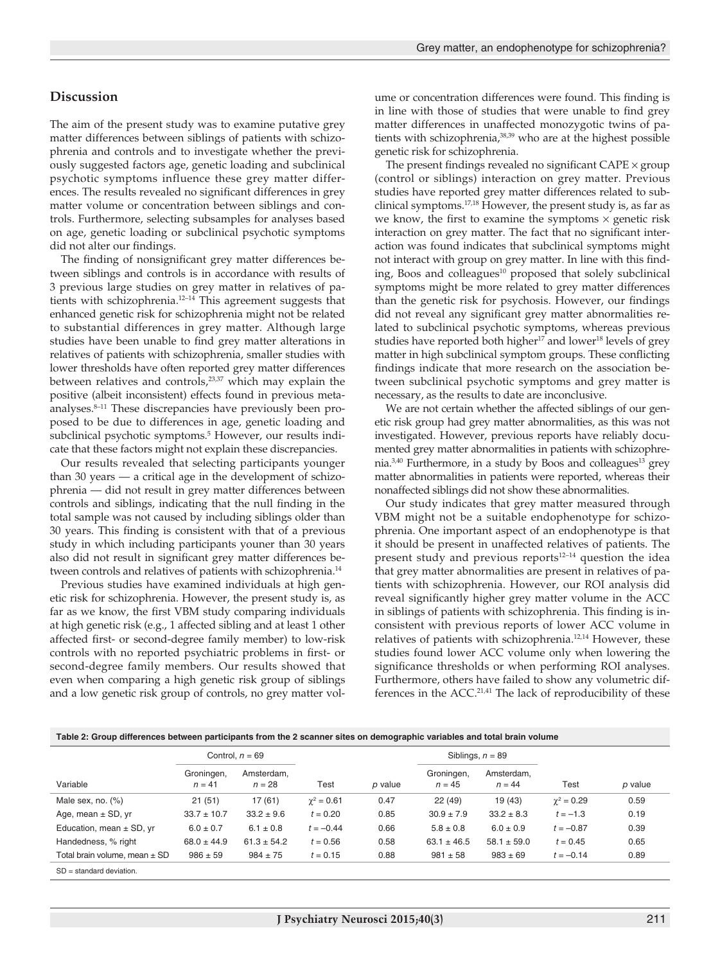## **Discussion**

The aim of the present study was to examine putative grey matter differences between siblings of patients with schizophrenia and controls and to investigate whether the previously suggested factors age, genetic loading and subclinical psychotic symptoms influence these grey matter differences. The results revealed no significant differences in grey matter volume or concentration between siblings and controls. Furthermore, selecting subsamples for analyses based on age, genetic loading or subclinical psychotic symptoms did not alter our findings.

The finding of nonsignificant grey matter differences between siblings and controls is in accordance with results of 3 previous large studies on grey matter in relatives of patients with schizophrenia.12–14 This agreement suggests that enhanced genetic risk for schizophrenia might not be related to substantial differences in grey matter. Although large studies have been unable to find grey matter alterations in relatives of patients with schizophrenia, smaller studies with lower thresholds have often reported grey matter differences between relatives and controls,<sup>23,37</sup> which may explain the positive (albeit inconsistent) effects found in previous metaanalyses.<sup>8-11</sup> These discrepancies have previously been proposed to be due to differences in age, genetic loading and subclinical psychotic symptoms.<sup>5</sup> However, our results indicate that these factors might not explain these discrepancies.

Our results revealed that selecting participants younger than 30 years — a critical age in the development of schizophrenia — did not result in grey matter differences between controls and siblings, indicating that the null finding in the total sample was not caused by including siblings older than 30 years. This finding is consistent with that of a previous study in which including participants youner than 30 years also did not result in significant grey matter differences between controls and relatives of patients with schizophrenia.<sup>14</sup>

Previous studies have examined individuals at high genetic risk for schizophrenia. However, the present study is, as far as we know, the first VBM study comparing individuals at high genetic risk (e.g., 1 affected sibling and at least 1 other affected first- or second-degree family member) to low-risk controls with no reported psychiatric problems in first- or second-degree family members. Our results showed that even when comparing a high genetic risk group of siblings and a low genetic risk group of controls, no grey matter volume or concentration differences were found. This finding is in line with those of studies that were unable to find grey matter differences in unaffected monozygotic twins of patients with schizophrenia,<sup>38,39</sup> who are at the highest possible genetic risk for schizophrenia.

The present findings revealed no significant  $CAPE \times group$ (control or siblings) interaction on grey matter. Previous studies have reported grey matter differences related to subclinical symptoms.17,18 However, the present study is, as far as we know, the first to examine the symptoms  $\times$  genetic risk interaction on grey matter. The fact that no significant interaction was found indicates that subclinical symptoms might not interact with group on grey matter. In line with this finding, Boos and colleagues<sup>10</sup> proposed that solely subclinical symptoms might be more related to grey matter differences than the genetic risk for psychosis. However, our findings did not reveal any significant grey matter abnormalities related to subclinical psychotic symptoms, whereas previous studies have reported both higher<sup>17</sup> and lower<sup>18</sup> levels of grey matter in high subclinical symptom groups. These conflicting findings indicate that more research on the association between subclinical psychotic symptoms and grey matter is necessary, as the results to date are inconclusive.

We are not certain whether the affected siblings of our genetic risk group had grey matter abnormalities, as this was not investigated. However, previous reports have reliably documented grey matter abnormalities in patients with schizophrenia.<sup>3,40</sup> Furthermore, in a study by Boos and colleagues<sup>13</sup> grey matter abnormalities in patients were reported, whereas their nonaffected siblings did not show these abnormalities.

Our study indicates that grey matter measured through VBM might not be a suitable endophenotype for schizophrenia. One important aspect of an endophenotype is that it should be present in unaffected relatives of patients. The present study and previous reports $12-14$  question the idea that grey matter abnormalities are present in relatives of patients with schizophrenia. However, our ROI analysis did reveal significantly higher grey matter volume in the ACC in siblings of patients with schizophrenia. This finding is inconsistent with previous reports of lower ACC volume in relatives of patients with schizophrenia.12,14 However, these studies found lower ACC volume only when lowering the significance thresholds or when performing ROI analyses. Furthermore, others have failed to show any volumetric differences in the ACC. $21,41$  The lack of reproducibility of these

| Table 2: Group differences between participants from the 2 scanner sites on demographic variables and total brain volume |  |  |
|--------------------------------------------------------------------------------------------------------------------------|--|--|

|                                   | Control, $n = 69$      |                        |                   |         | Siblings, $n = 89$     |                        |                   |         |
|-----------------------------------|------------------------|------------------------|-------------------|---------|------------------------|------------------------|-------------------|---------|
| Variable                          | Groningen,<br>$n = 41$ | Amsterdam.<br>$n = 28$ | Test              | p value | Groningen.<br>$n = 45$ | Amsterdam.<br>$n = 44$ | Test              | p value |
| Male sex, no. $(\%)$              | 21(51)                 | 17 (61)                | $\gamma^2 = 0.61$ | 0.47    | 22(49)                 | 19(43)                 | $\gamma^2 = 0.29$ | 0.59    |
| Age, mean $\pm$ SD, yr            | $33.7 \pm 10.7$        | $33.2 \pm 9.6$         | $t = 0.20$        | 0.85    | $30.9 \pm 7.9$         | $33.2 \pm 8.3$         | $t = -1.3$        | 0.19    |
| Education, mean $\pm$ SD, yr      | $6.0 \pm 0.7$          | $6.1 \pm 0.8$          | $t = -0.44$       | 0.66    | $5.8 \pm 0.8$          | $6.0 \pm 0.9$          | $t = -0.87$       | 0.39    |
| Handedness, % right               | $68.0 \pm 44.9$        | $61.3 \pm 54.2$        | $t = 0.56$        | 0.58    | $63.1 \pm 46.5$        | $58.1 \pm 59.0$        | $t = 0.45$        | 0.65    |
| Total brain volume. mean $\pm$ SD | $986 \pm 59$           | $984 \pm 75$           | $t = 0.15$        | 0.88    | $981 \pm 58$           | $983 \pm 69$           | $t = -0.14$       | 0.89    |
| $SD = standard deviation$ .       |                        |                        |                   |         |                        |                        |                   |         |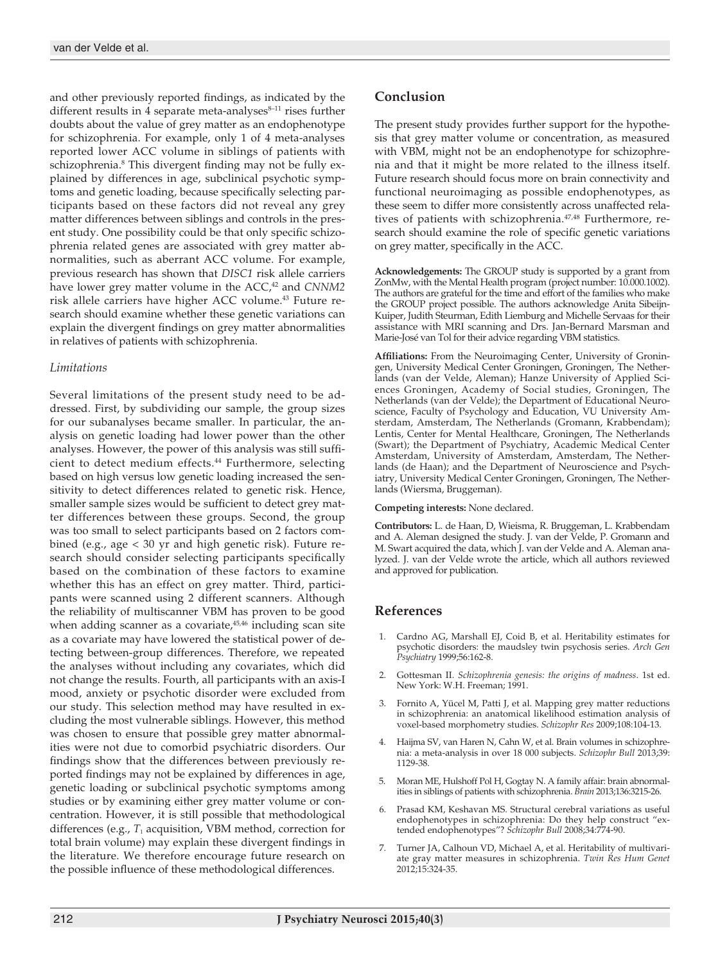and other previously reported findings, as indicated by the different results in 4 separate meta-analyses $8-11$  rises further doubts about the value of grey matter as an endophenotype for schizophrenia. For example, only 1 of 4 meta-analyses reported lower ACC volume in siblings of patients with schizophrenia.<sup>8</sup> This divergent finding may not be fully explained by differences in age, subclinical psychotic symptoms and genetic loading, because specifically selecting participants based on these factors did not reveal any grey matter differences between siblings and controls in the present study. One possibility could be that only specific schizophrenia related genes are associated with grey matter abnormalities, such as aberrant ACC volume. For example, previous research has shown that *DISC1* risk allele carriers have lower grey matter volume in the ACC,<sup>42</sup> and *CNNM2* risk allele carriers have higher ACC volume.<sup>43</sup> Future research should examine whether these genetic variations can explain the divergent findings on grey matter abnormalities in relatives of patients with schizophrenia.

## *Limitations*

Several limitations of the present study need to be addressed. First, by subdividing our sample, the group sizes for our subanalyses became smaller. In particular, the analysis on genetic loading had lower power than the other analyses. However, the power of this analysis was still sufficient to detect medium effects.<sup>44</sup> Furthermore, selecting based on high versus low genetic loading increased the sensitivity to detect differences related to genetic risk. Hence, smaller sample sizes would be sufficient to detect grey matter differences between these groups. Second, the group was too small to select participants based on 2 factors combined (e.g., age < 30 yr and high genetic risk). Future research should consider selecting participants specifically based on the combination of these factors to examine whether this has an effect on grey matter. Third, participants were scanned using 2 different scanners. Although the reliability of multiscanner VBM has proven to be good when adding scanner as a covariate,<sup>45,46</sup> including scan site as a covariate may have lowered the statistical power of detecting between-group differences. Therefore, we repeated the analyses without including any covariates, which did not change the results. Fourth, all participants with an axis-I mood, anxiety or psychotic disorder were excluded from our study. This selection method may have resulted in excluding the most vulnerable siblings. However, this method was chosen to ensure that possible grey matter abnormalities were not due to comorbid psychiatric disorders. Our findings show that the differences between previously reported findings may not be explained by differences in age, genetic loading or subclinical psychotic symptoms among studies or by examining either grey matter volume or concentration. However, it is still possible that methodological differences (e.g.,  $T_1$  acquisition, VBM method, correction for total brain volume) may explain these divergent findings in the literature. We therefore encourage future research on the possible influence of these methodological differences.

# **Conclusion**

The present study provides further support for the hypothesis that grey matter volume or concentration, as measured with VBM, might not be an endophenotype for schizophrenia and that it might be more related to the illness itself. Future research should focus more on brain connectivity and functional neuroimaging as possible endophenotypes, as these seem to differ more consistently across unaffected relatives of patients with schizophrenia.47,48 Furthermore, research should examine the role of specific genetic variations on grey matter, specifically in the ACC.

**Acknowledgements:** The GROUP study is supported by a grant from ZonMw, with the Mental Health program (project number: 10.000.1002). The authors are grateful for the time and effort of the families who make the GROUP project possible. The authors acknowledge Anita Sibeijn-Kuiper, Judith Steurman, Edith Liemburg and Michelle Servaas for their assistance with MRI scanning and Drs. Jan-Bernard Marsman and Marie-José van Tol for their advice regarding VBM statistics.

**Affiliations:** From the Neuroimaging Center, University of Groningen, University Medical Center Groningen, Groningen, The Netherlands (van der Velde, Aleman); Hanze University of Applied Sciences Groningen, Academy of Social studies, Groningen, The Netherlands (van der Velde); the Department of Educational Neuroscience, Faculty of Psychology and Education, VU University Amsterdam, Amsterdam, The Netherlands (Gromann, Krabbendam); Lentis, Center for Mental Healthcare, Groningen, The Netherlands (Swart); the Department of Psychiatry, Academic Medical Center Amsterdam, University of Amsterdam, Amsterdam, The Netherlands (de Haan); and the Department of Neuroscience and Psychiatry, University Medical Center Groningen, Groningen, The Netherlands (Wiersma, Bruggeman).

#### **Competing interests:** None declared.

**Contributors:** L. de Haan, D, Wieisma, R. Bruggeman, L. Krabbendam and A. Aleman designed the study. J. van der Velde, P. Gromann and M. Swart acquired the data, which J. van der Velde and A. Aleman analyzed. J. van der Velde wrote the article, which all authors reviewed and approved for publication.

# **References**

- 1. Cardno AG, Marshall EJ, Coid B, et al. Heritability estimates for psychotic disorders: the maudsley twin psychosis series. *Arch Gen Psychiatry* 1999;56:162-8.
- 2. Gottesman II. *Schizophrenia genesis: the origins of madness*. 1st ed. New York: W.H. Freeman; 1991.
- 3. Fornito A, Yücel M, Patti J, et al. Mapping grey matter reductions in schizophrenia: an anatomical likelihood estimation analysis of voxel-based morphometry studies. *Schizophr Res* 2009;108:104-13.
- 4. Haijma SV, van Haren N, Cahn W, et al. Brain volumes in schizophrenia: a meta-analysis in over 18 000 subjects. *Schizophr Bull* 2013;39: 1129-38.
- 5. Moran ME, Hulshoff Pol H, Gogtay N. A family affair: brain abnormalities in siblings of patients with schizophrenia. *Brain* 2013;136:3215-26.
- 6. Prasad KM, Keshavan MS. Structural cerebral variations as useful endophenotypes in schizophrenia: Do they help construct "extended endophenotypes"? *Schizophr Bull* 2008;34:774-90.
- 7. Turner JA, Calhoun VD, Michael A, et al. Heritability of multivariate gray matter measures in schizophrenia. *Twin Res Hum Genet* 2012;15:324-35.